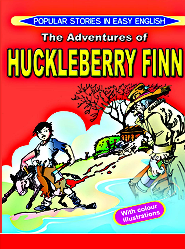## POPULAR STORIES IN EASY ENGLISH **The Adventures of PUCKLEBERRY FINN**

**With colour** illustrations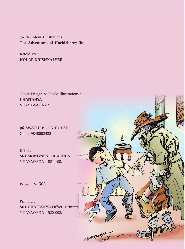(With Colour Illustrations) **The Adventures of Huckleberry finn**

Retold By : **KOLAR KRISHNA IYER**

Cover Design & Inside Illustrations : **CHAITANYA** VIJAYAWADA - 2

**@ SWATHI BOOK HOUSE** Cell : 9848082432

D.T.P. : **SRI SRINIVASA GRAPHICS** VIJAYAWADA - 521 108.

Price : **Rs.**  50/-

Printing : **SRI CHAITANYA Offset Printers** VIJAYAWADA - 520 002.

CHAITANY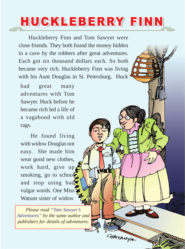## HUCKLEBERRY FINN

Huckleberry Finn and Tom Sawyer were close friends. They both found the money hidden in a cave by the robbers after great adventures. Each got six thousand dollars each. So both became very rich. Huckleberry Finn was living with his Aunt Douglas in St. Petersburg. Huck

had great many adventures with Tom Sawyer. Huck before he became rich led a life of a vagabond with old rags.

He found living with widow Douglas not easy. She made him wear good new clothes, work hard, give up smoking, go to school and stop using bad vulgar words. One Miss Watson sister of widow

*Please read "Tom Sawyer's Adventures" by the same author and publishers for details of advnetures.*

3

CHAITAUYA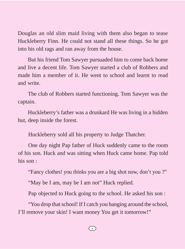Douglas an old slim maid living with them also began to tease Huckleberry Finn. He could not stand all these things. So he got into his old rags and ran away from the house.

But his friend Tom Sawyer pursuaded him to come back home and live a decent life. Tom Sawyer started a club of Robbers and made him a member of it. He went to school and learnt to read and write.

The club of Robbers started functioning. Tom Sawyer was the captain.

Huckleberry's father was a drunkard He was living in a hidden hut, deep inside the forest.

Huckleberry sold all his property to Judge Thatcher.

One day night Pap father of Huck suddenly came to the room of his son. Huck and was sitting when Huck came home. Pap told his son :

"Fancy clothes! you thinks you are a big shot now, don't you ?"

"May be I am, may be I am not" Huck replied.

Pap objected to Huck going to the school. He asked his son :

"You drop that school! If I catch you hanging around the school, I'll remove your skin! I want money You get it tomorrow!"